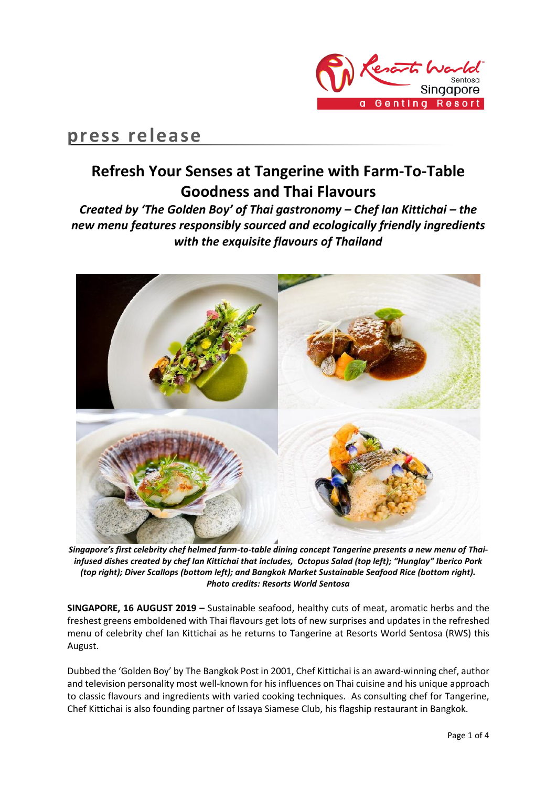

## **press release**

## **Refresh Your Senses at Tangerine with Farm-To-Table Goodness and Thai Flavours**

*Created by 'The Golden Boy' of Thai gastronomy – Chef Ian Kittichai – the new menu features responsibly sourced and ecologically friendly ingredients with the exquisite flavours of Thailand*



*Singapore's first celebrity chef helmed farm-to-table dining concept Tangerine presents a new menu of Thaiinfused dishes created by chef Ian Kittichai that includes, Octopus Salad (top left); "Hunglay" Iberico Pork (top right); Diver Scallops (bottom left); and Bangkok Market Sustainable Seafood Rice (bottom right). Photo credits: Resorts World Sentosa* 

**SINGAPORE, 16 AUGUST 2019 –** Sustainable seafood, healthy cuts of meat, aromatic herbs and the freshest greens emboldened with Thai flavours get lots of new surprises and updates in the refreshed menu of celebrity chef Ian Kittichai as he returns to Tangerine at Resorts World Sentosa (RWS) this August.

Dubbed the 'Golden Boy' by The Bangkok Post in 2001, Chef Kittichai is an award-winning chef, author and television personality most well-known for his influences on Thai cuisine and his unique approach to classic flavours and ingredients with varied cooking techniques. As consulting chef for Tangerine, Chef Kittichai is also founding partner of Issaya Siamese Club, his flagship restaurant in Bangkok.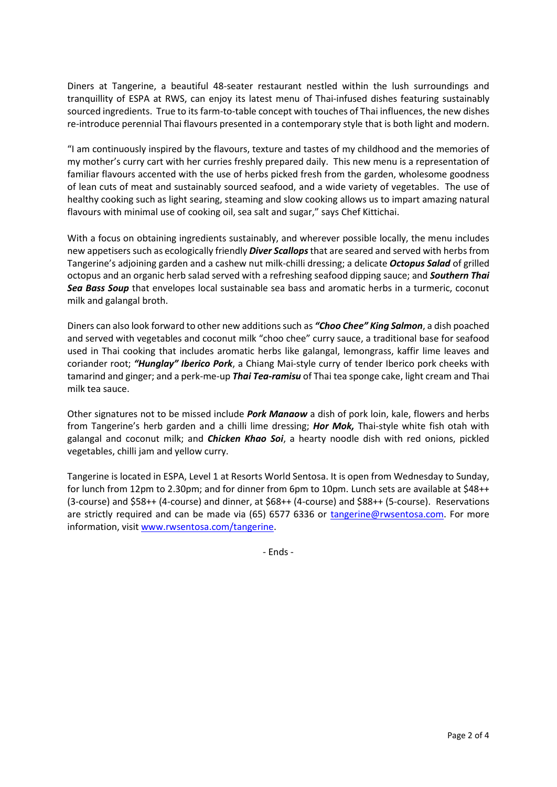Diners at Tangerine, a beautiful 48-seater restaurant nestled within the lush surroundings and tranquillity of ESPA at RWS, can enjoy its latest menu of Thai-infused dishes featuring sustainably sourced ingredients. True to its farm-to-table concept with touches of Thai influences, the new dishes re-introduce perennial Thai flavours presented in a contemporary style that is both light and modern.

"I am continuously inspired by the flavours, texture and tastes of my childhood and the memories of my mother's curry cart with her curries freshly prepared daily. This new menu is a representation of familiar flavours accented with the use of herbs picked fresh from the garden, wholesome goodness of lean cuts of meat and sustainably sourced seafood, and a wide variety of vegetables. The use of healthy cooking such as light searing, steaming and slow cooking allows us to impart amazing natural flavours with minimal use of cooking oil, sea salt and sugar," says Chef Kittichai.

With a focus on obtaining ingredients sustainably, and wherever possible locally, the menu includes new appetisers such as ecologically friendly *Diver Scallops* that are seared and served with herbs from Tangerine's adjoining garden and a cashew nut milk-chilli dressing; a delicate *Octopus Salad* of grilled octopus and an organic herb salad served with a refreshing seafood dipping sauce; and *Southern Thai Sea Bass Soup* that envelopes local sustainable sea bass and aromatic herbs in a turmeric, coconut milk and galangal broth.

Diners can also look forward to other new additions such as *"Choo Chee" King Salmon*, a dish poached and served with vegetables and coconut milk "choo chee" curry sauce, a traditional base for seafood used in Thai cooking that includes aromatic herbs like galangal, lemongrass, kaffir lime leaves and coriander root; *"Hunglay" Iberico Pork*, a Chiang Mai-style curry of tender Iberico pork cheeks with tamarind and ginger; and a perk-me-up *Thai Tea-ramisu* of Thai tea sponge cake, light cream and Thai milk tea sauce.

Other signatures not to be missed include *Pork Manaow* a dish of pork loin, kale, flowers and herbs from Tangerine's herb garden and a chilli lime dressing; *Hor Mok,* Thai-style white fish otah with galangal and coconut milk; and *Chicken Khao Soi*, a hearty noodle dish with red onions, pickled vegetables, chilli jam and yellow curry.

Tangerine is located in ESPA, Level 1 at Resorts World Sentosa. It is open from Wednesday to Sunday, for lunch from 12pm to 2.30pm; and for dinner from 6pm to 10pm. Lunch sets are available at \$48++ (3-course) and \$58++ (4-course) and dinner, at \$68++ (4-course) and \$88++ (5-course). Reservations are strictly required and can be made via (65) 6577 6336 or [tangerine@rwsentosa.com.](mailto:tangerine@rwsentosa.com) For more information, visit [www.rwsentosa.com/tangerine.](http://www.rwsentosa.com/tangerine)

- Ends -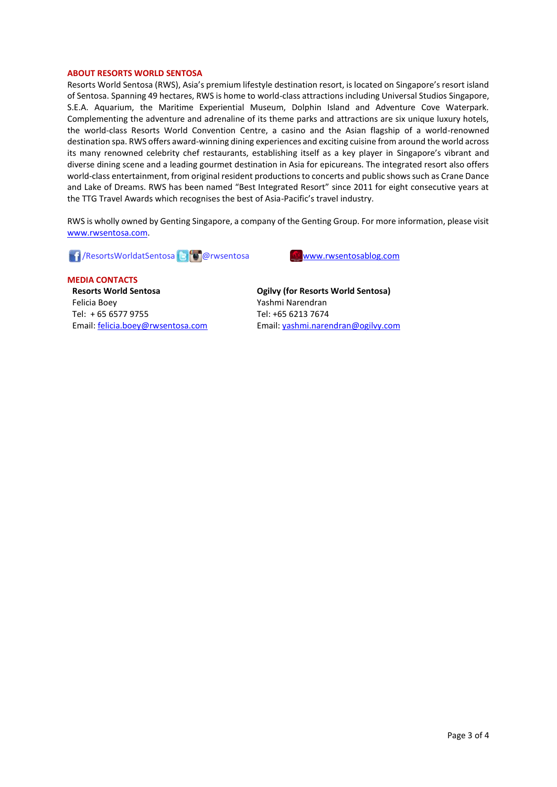## **ABOUT RESORTS WORLD SENTOSA**

Resorts World Sentosa (RWS), Asia's premium lifestyle destination resort, is located on Singapore's resort island of Sentosa. Spanning 49 hectares, RWS is home to world-class attractions including Universal Studios Singapore, S.E.A. Aquarium, the Maritime Experiential Museum, Dolphin Island and Adventure Cove Waterpark. Complementing the adventure and adrenaline of its theme parks and attractions are six unique luxury hotels, the world-class Resorts World Convention Centre, a casino and the Asian flagship of a world-renowned destination spa. RWS offers award-winning dining experiences and exciting cuisine from around the world across its many renowned celebrity chef restaurants, establishing itself as a key player in Singapore's vibrant and diverse dining scene and a leading gourmet destination in Asia for epicureans. The integrated resort also offers world-class entertainment, from original resident productions to concerts and public shows such as Crane Dance and Lake of Dreams. RWS has been named "Best Integrated Resort" since 2011 for eight consecutive years at the TTG Travel Awards which recognises the best of Asia-Pacific's travel industry.

RWS is wholly owned by Genting Singapore, a company of the Genting Group. For more information, please visit [www.rwsentosa.com.](http://www.rwsentosa.com/)

**1 ResortsWorldatSentosa @rwsentosa [www.rwsentosablog.com](http://www.rwsentosablog.com/)** 



**MEDIA CONTACTS Resorts World Sentosa** Felicia Boey Tel: + 65 6577 9755 Email[: felicia.boey@rwsentosa.com](mailto:felicia.boey@rwsentosa.com)

**Ogilvy (for Resorts World Sentosa)** Yashmi Narendran Tel: +65 6213 7674 Email: [yashmi.narendran@ogilvy.com](mailto:yashmi.narendran@ogilvy.com)